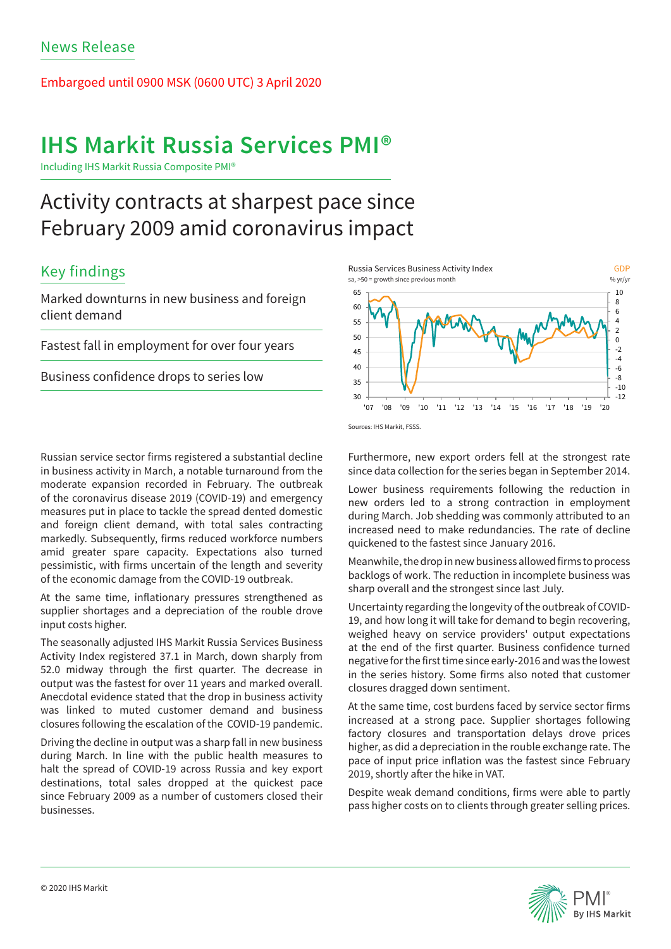### Embargoed until 0900 MSK (0600 UTC) 3 April 2020

# **IHS Markit Russia Services PMI®**

Including IHS Markit Russia Composite PMI®

# Activity contracts at sharpest pace since February 2009 amid coronavirus impact

### Key findings

Marked downturns in new business and foreign client demand

Fastest fall in employment for over four years

Business confidence drops to series low

Russian service sector firms registered a substantial decline in business activity in March, a notable turnaround from the moderate expansion recorded in February. The outbreak of the coronavirus disease 2019 (COVID-19) and emergency measures put in place to tackle the spread dented domestic and foreign client demand, with total sales contracting markedly. Subsequently, firms reduced workforce numbers amid greater spare capacity. Expectations also turned pessimistic, with firms uncertain of the length and severity of the economic damage from the COVID-19 outbreak.

At the same time, inflationary pressures strengthened as supplier shortages and a depreciation of the rouble drove input costs higher.

The seasonally adjusted IHS Markit Russia Services Business Activity Index registered 37.1 in March, down sharply from 52.0 midway through the first quarter. The decrease in output was the fastest for over 11 years and marked overall. Anecdotal evidence stated that the drop in business activity was linked to muted customer demand and business closures following the escalation of the COVID-19 pandemic.

Driving the decline in output was a sharp fall in new business during March. In line with the public health measures to halt the spread of COVID-19 across Russia and key export destinations, total sales dropped at the quickest pace since February 2009 as a number of customers closed their businesses.



Sources: IHS Markit, FSSS.

Furthermore, new export orders fell at the strongest rate since data collection for the series began in September 2014.

Lower business requirements following the reduction in new orders led to a strong contraction in employment during March. Job shedding was commonly attributed to an increased need to make redundancies. The rate of decline quickened to the fastest since January 2016.

Meanwhile, the drop in new business allowed firms to process backlogs of work. The reduction in incomplete business was sharp overall and the strongest since last July.

Uncertainty regarding the longevity of the outbreak of COVID-19, and how long it will take for demand to begin recovering, weighed heavy on service providers' output expectations at the end of the first quarter. Business confidence turned negative for the first time since early-2016 and was the lowest in the series history. Some firms also noted that customer closures dragged down sentiment.

At the same time, cost burdens faced by service sector firms increased at a strong pace. Supplier shortages following factory closures and transportation delays drove prices higher, as did a depreciation in the rouble exchange rate. The pace of input price inflation was the fastest since February 2019, shortly after the hike in VAT.

Despite weak demand conditions, firms were able to partly pass higher costs on to clients through greater selling prices.

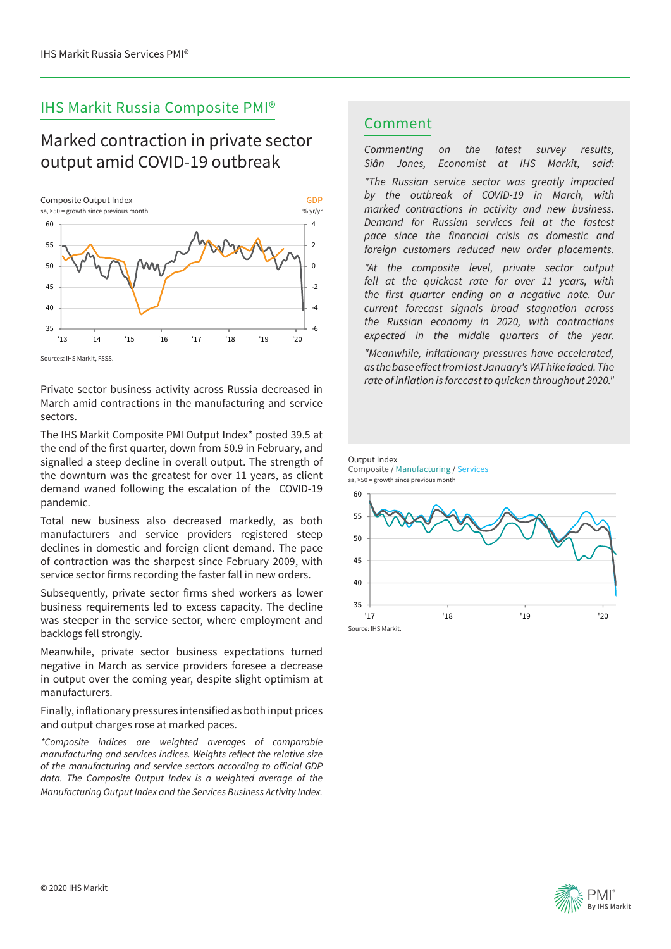### IHS Markit Russia Composite PMI®

## Marked contraction in private sector output amid COVID-19 outbreak



Private sector business activity across Russia decreased in March amid contractions in the manufacturing and service sectors.

The IHS Markit Composite PMI Output Index\* posted 39.5 at the end of the first quarter, down from 50.9 in February, and signalled a steep decline in overall output. The strength of the downturn was the greatest for over 11 years, as client demand waned following the escalation of the COVID-19 pandemic.

Total new business also decreased markedly, as both manufacturers and service providers registered steep declines in domestic and foreign client demand. The pace of contraction was the sharpest since February 2009, with service sector firms recording the faster fall in new orders.

Subsequently, private sector firms shed workers as lower business requirements led to excess capacity. The decline was steeper in the service sector, where employment and backlogs fell strongly.

Meanwhile, private sector business expectations turned negative in March as service providers foresee a decrease in output over the coming year, despite slight optimism at manufacturers.

Finally, inflationary pressures intensified as both input prices and output charges rose at marked paces.

*\*Composite indices are weighted averages of comparable*  manufacturing and services indices. Weights reflect the relative size of the manufacturing and service sectors according to official GDP *data. The Composite Output Index is a weighted average of the Manufacturing Output Index and the Services Business Activity Index.*

### Comment

*Commenting on the latest survey results, Siân Jones, Economist at IHS Markit, said:* 

*"The Russian service sector was greatly impacted*  by the outbreak of COVID-19 in March, with *marked contractions in activity and new business.*  Demand for Russian services fell at the fastest pace since the financial crisis as domestic and *foreign customers reduced new order placements.*

*"At the composite level, private sector output*  fell at the quickest rate for over 11 years, with the first quarter ending on a negative note. Our *current forecast signals broad stagnation across the Russian economy in 2020, with contractions expected in the middle quarters of the year.* 

"Meanwhile, inflationary pressures have accelerated, as the base effect from last January's VAT hike faded. The rate of inflation is forecast to quicken throughout 2020."